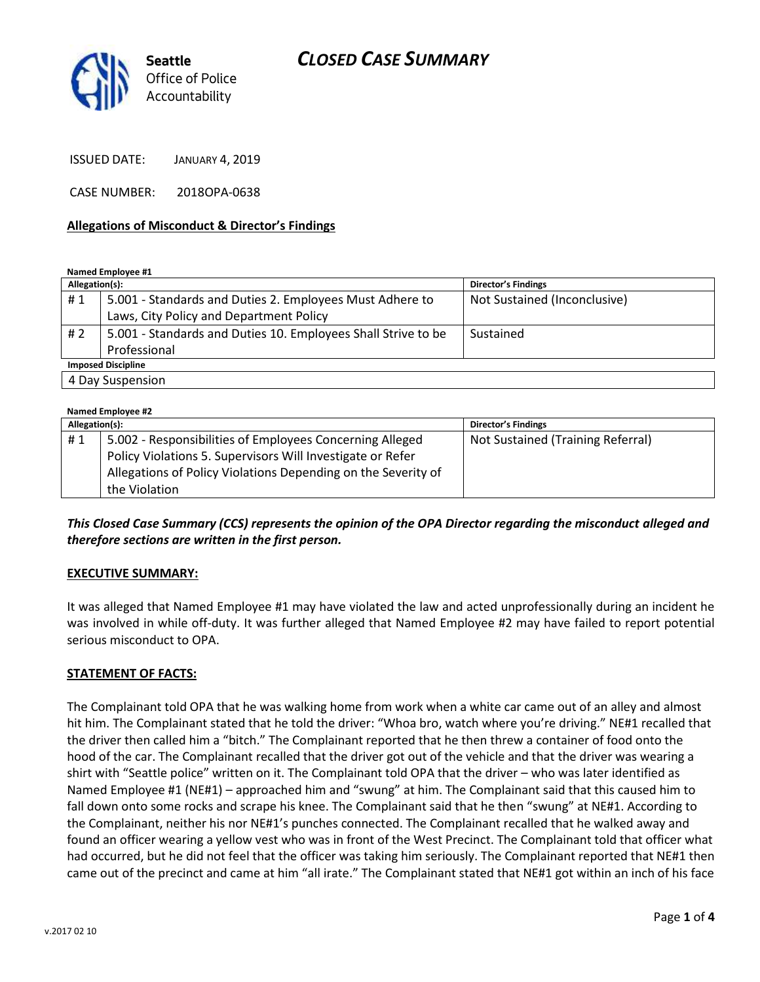



ISSUED DATE: JANUARY 4, 2019

CASE NUMBER: 2018OPA-0638

#### **Allegations of Misconduct & Director's Findings**

**Named Employee #1**

| Allegation(s):            |                                                               | <b>Director's Findings</b>   |  |
|---------------------------|---------------------------------------------------------------|------------------------------|--|
| #1                        | 5.001 - Standards and Duties 2. Employees Must Adhere to      | Not Sustained (Inconclusive) |  |
|                           | Laws, City Policy and Department Policy                       |                              |  |
| #2                        | 5.001 - Standards and Duties 10. Employees Shall Strive to be | Sustained                    |  |
|                           | Professional                                                  |                              |  |
| <b>Imposed Discipline</b> |                                                               |                              |  |
| 4 Day Suspension          |                                                               |                              |  |

| Named Employee #2 |                                                               |                                   |  |
|-------------------|---------------------------------------------------------------|-----------------------------------|--|
| Allegation(s):    |                                                               | <b>Director's Findings</b>        |  |
| #1                | 5.002 - Responsibilities of Employees Concerning Alleged      | Not Sustained (Training Referral) |  |
|                   | Policy Violations 5. Supervisors Will Investigate or Refer    |                                   |  |
|                   | Allegations of Policy Violations Depending on the Severity of |                                   |  |
|                   | the Violation                                                 |                                   |  |

*This Closed Case Summary (CCS) represents the opinion of the OPA Director regarding the misconduct alleged and therefore sections are written in the first person.* 

#### **EXECUTIVE SUMMARY:**

It was alleged that Named Employee #1 may have violated the law and acted unprofessionally during an incident he was involved in while off-duty. It was further alleged that Named Employee #2 may have failed to report potential serious misconduct to OPA.

### **STATEMENT OF FACTS:**

The Complainant told OPA that he was walking home from work when a white car came out of an alley and almost hit him. The Complainant stated that he told the driver: "Whoa bro, watch where you're driving." NE#1 recalled that the driver then called him a "bitch." The Complainant reported that he then threw a container of food onto the hood of the car. The Complainant recalled that the driver got out of the vehicle and that the driver was wearing a shirt with "Seattle police" written on it. The Complainant told OPA that the driver – who was later identified as Named Employee #1 (NE#1) – approached him and "swung" at him. The Complainant said that this caused him to fall down onto some rocks and scrape his knee. The Complainant said that he then "swung" at NE#1. According to the Complainant, neither his nor NE#1's punches connected. The Complainant recalled that he walked away and found an officer wearing a yellow vest who was in front of the West Precinct. The Complainant told that officer what had occurred, but he did not feel that the officer was taking him seriously. The Complainant reported that NE#1 then came out of the precinct and came at him "all irate." The Complainant stated that NE#1 got within an inch of his face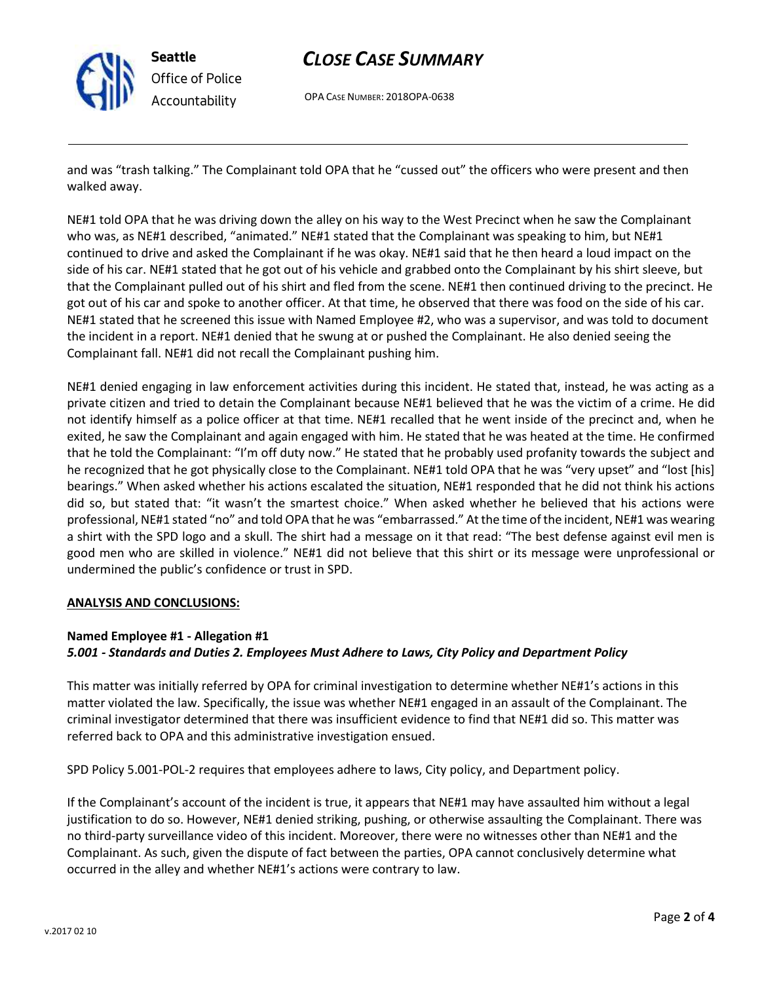

**Seattle** *Office of Police Accountability*

# *CLOSE CASE SUMMARY*

OPA CASE NUMBER: 2018OPA-0638

and was "trash talking." The Complainant told OPA that he "cussed out" the officers who were present and then walked away.

NE#1 told OPA that he was driving down the alley on his way to the West Precinct when he saw the Complainant who was, as NE#1 described, "animated." NE#1 stated that the Complainant was speaking to him, but NE#1 continued to drive and asked the Complainant if he was okay. NE#1 said that he then heard a loud impact on the side of his car. NE#1 stated that he got out of his vehicle and grabbed onto the Complainant by his shirt sleeve, but that the Complainant pulled out of his shirt and fled from the scene. NE#1 then continued driving to the precinct. He got out of his car and spoke to another officer. At that time, he observed that there was food on the side of his car. NE#1 stated that he screened this issue with Named Employee #2, who was a supervisor, and was told to document the incident in a report. NE#1 denied that he swung at or pushed the Complainant. He also denied seeing the Complainant fall. NE#1 did not recall the Complainant pushing him.

NE#1 denied engaging in law enforcement activities during this incident. He stated that, instead, he was acting as a private citizen and tried to detain the Complainant because NE#1 believed that he was the victim of a crime. He did not identify himself as a police officer at that time. NE#1 recalled that he went inside of the precinct and, when he exited, he saw the Complainant and again engaged with him. He stated that he was heated at the time. He confirmed that he told the Complainant: "I'm off duty now." He stated that he probably used profanity towards the subject and he recognized that he got physically close to the Complainant. NE#1 told OPA that he was "very upset" and "lost [his] bearings." When asked whether his actions escalated the situation, NE#1 responded that he did not think his actions did so, but stated that: "it wasn't the smartest choice." When asked whether he believed that his actions were professional, NE#1 stated "no" and told OPA that he was "embarrassed." At the time of the incident, NE#1 was wearing a shirt with the SPD logo and a skull. The shirt had a message on it that read: "The best defense against evil men is good men who are skilled in violence." NE#1 did not believe that this shirt or its message were unprofessional or undermined the public's confidence or trust in SPD.

### **ANALYSIS AND CONCLUSIONS:**

## **Named Employee #1 - Allegation #1** *5.001 - Standards and Duties 2. Employees Must Adhere to Laws, City Policy and Department Policy*

This matter was initially referred by OPA for criminal investigation to determine whether NE#1's actions in this matter violated the law. Specifically, the issue was whether NE#1 engaged in an assault of the Complainant. The criminal investigator determined that there was insufficient evidence to find that NE#1 did so. This matter was referred back to OPA and this administrative investigation ensued.

SPD Policy 5.001-POL-2 requires that employees adhere to laws, City policy, and Department policy.

If the Complainant's account of the incident is true, it appears that NE#1 may have assaulted him without a legal justification to do so. However, NE#1 denied striking, pushing, or otherwise assaulting the Complainant. There was no third-party surveillance video of this incident. Moreover, there were no witnesses other than NE#1 and the Complainant. As such, given the dispute of fact between the parties, OPA cannot conclusively determine what occurred in the alley and whether NE#1's actions were contrary to law.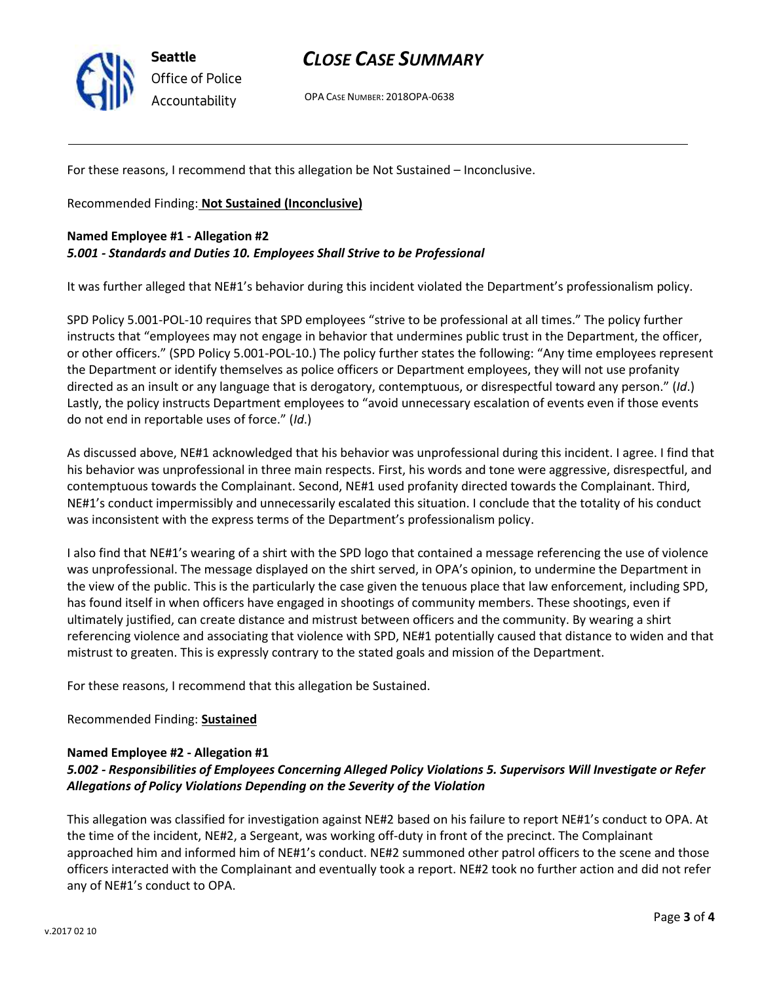

**Seattle** *Office of Police Accountability*

# *CLOSE CASE SUMMARY*

OPA CASE NUMBER: 2018OPA-0638

For these reasons, I recommend that this allegation be Not Sustained – Inconclusive.

Recommended Finding: **Not Sustained (Inconclusive)**

### **Named Employee #1 - Allegation #2** *5.001 - Standards and Duties 10. Employees Shall Strive to be Professional*

It was further alleged that NE#1's behavior during this incident violated the Department's professionalism policy.

SPD Policy 5.001-POL-10 requires that SPD employees "strive to be professional at all times." The policy further instructs that "employees may not engage in behavior that undermines public trust in the Department, the officer, or other officers." (SPD Policy 5.001-POL-10.) The policy further states the following: "Any time employees represent the Department or identify themselves as police officers or Department employees, they will not use profanity directed as an insult or any language that is derogatory, contemptuous, or disrespectful toward any person." (*Id*.) Lastly, the policy instructs Department employees to "avoid unnecessary escalation of events even if those events do not end in reportable uses of force." (*Id*.)

As discussed above, NE#1 acknowledged that his behavior was unprofessional during this incident. I agree. I find that his behavior was unprofessional in three main respects. First, his words and tone were aggressive, disrespectful, and contemptuous towards the Complainant. Second, NE#1 used profanity directed towards the Complainant. Third, NE#1's conduct impermissibly and unnecessarily escalated this situation. I conclude that the totality of his conduct was inconsistent with the express terms of the Department's professionalism policy.

I also find that NE#1's wearing of a shirt with the SPD logo that contained a message referencing the use of violence was unprofessional. The message displayed on the shirt served, in OPA's opinion, to undermine the Department in the view of the public. This is the particularly the case given the tenuous place that law enforcement, including SPD, has found itself in when officers have engaged in shootings of community members. These shootings, even if ultimately justified, can create distance and mistrust between officers and the community. By wearing a shirt referencing violence and associating that violence with SPD, NE#1 potentially caused that distance to widen and that mistrust to greaten. This is expressly contrary to the stated goals and mission of the Department.

For these reasons, I recommend that this allegation be Sustained.

### Recommended Finding: **Sustained**

### **Named Employee #2 - Allegation #1**

### *5.002 - Responsibilities of Employees Concerning Alleged Policy Violations 5. Supervisors Will Investigate or Refer Allegations of Policy Violations Depending on the Severity of the Violation*

This allegation was classified for investigation against NE#2 based on his failure to report NE#1's conduct to OPA. At the time of the incident, NE#2, a Sergeant, was working off-duty in front of the precinct. The Complainant approached him and informed him of NE#1's conduct. NE#2 summoned other patrol officers to the scene and those officers interacted with the Complainant and eventually took a report. NE#2 took no further action and did not refer any of NE#1's conduct to OPA.